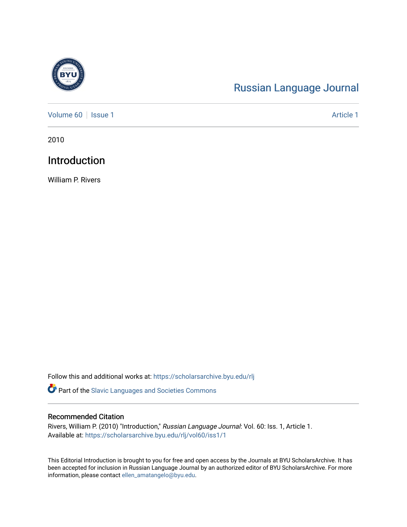

# [Russian Language Journal](https://scholarsarchive.byu.edu/rlj)

[Volume 60](https://scholarsarchive.byu.edu/rlj/vol60) | [Issue 1](https://scholarsarchive.byu.edu/rlj/vol60/iss1) Article 1

2010

## Introduction

William P. Rivers

Follow this and additional works at: [https://scholarsarchive.byu.edu/rlj](https://scholarsarchive.byu.edu/rlj?utm_source=scholarsarchive.byu.edu%2Frlj%2Fvol60%2Fiss1%2F1&utm_medium=PDF&utm_campaign=PDFCoverPages)

**P** Part of the Slavic Languages and Societies Commons

#### Recommended Citation

Rivers, William P. (2010) "Introduction," Russian Language Journal: Vol. 60: Iss. 1, Article 1. Available at: [https://scholarsarchive.byu.edu/rlj/vol60/iss1/1](https://scholarsarchive.byu.edu/rlj/vol60/iss1/1?utm_source=scholarsarchive.byu.edu%2Frlj%2Fvol60%2Fiss1%2F1&utm_medium=PDF&utm_campaign=PDFCoverPages) 

This Editorial Introduction is brought to you for free and open access by the Journals at BYU ScholarsArchive. It has been accepted for inclusion in Russian Language Journal by an authorized editor of BYU ScholarsArchive. For more information, please contact [ellen\\_amatangelo@byu.edu.](mailto:ellen_amatangelo@byu.edu)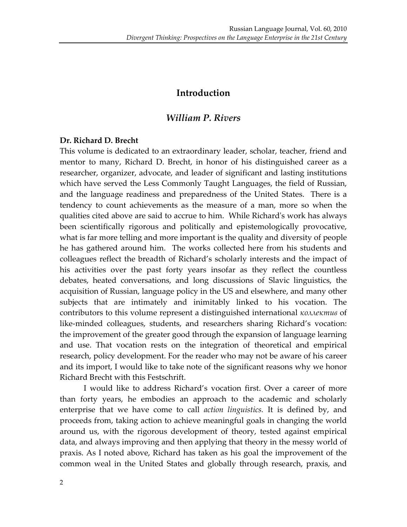## **Introduction**

## *William P. Rivers*

#### **Dr. Richard D. Brecht**

This volume is dedicated to an extraordinary leader, scholar, teacher, friend and mentor to many, Richard D. Brecht, in honor of his distinguished career as a researcher, organizer, advocate, and leader of significant and lasting institutions which have served the Less Commonly Taught Languages, the field of Russian, and the language readiness and preparedness of the United States. There is a tendency to count achievements as the measure of a man, more so when the qualities cited above are said to accrue to him. While Richardʹs work has always been scientifically rigorous and politically and epistemologically provocative, what is far more telling and more important is the quality and diversity of people he has gathered around him. The works collected here from his students and colleagues reflect the breadth of Richard's scholarly interests and the impact of his activities over the past forty years insofar as they reflect the countless debates, heated conversations, and long discussions of Slavic linguistics, the acquisition of Russian, language policy in the US and elsewhere, and many other subjects that are intimately and inimitably linked to his vocation. The contributors to this volume represent a distinguished international *коллектив* of like-minded colleagues, students, and researchers sharing Richard's vocation: the improvement of the greater good through the expansion of language learning and use. That vocation rests on the integration of theoretical and empirical research, policy development. For the reader who may not be aware of his career and its import, I would like to take note of the significant reasons why we honor Richard Brecht with this Festschrift.

I would like to address Richard's vocation first. Over a career of more than forty years, he embodies an approach to the academic and scholarly enterprise that we have come to call *action linguistics.* It is defined by, and proceeds from, taking action to achieve meaningful goals in changing the world around us, with the rigorous development of theory, tested against empirical data, and always improving and then applying that theory in the messy world of praxis. As I noted above, Richard has taken as his goal the improvement of the common weal in the United States and globally through research, praxis, and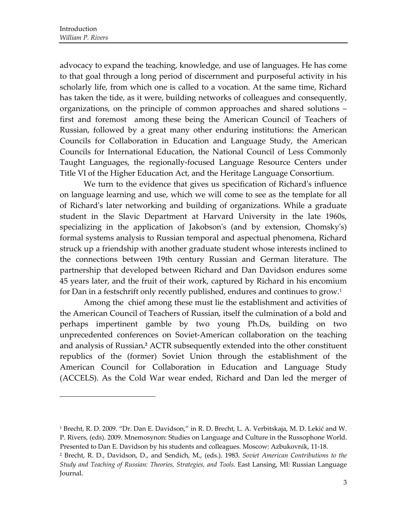$\overline{\phantom{a}}$  ,  $\overline{\phantom{a}}$  ,  $\overline{\phantom{a}}$  ,  $\overline{\phantom{a}}$  ,  $\overline{\phantom{a}}$  ,  $\overline{\phantom{a}}$  ,  $\overline{\phantom{a}}$  ,  $\overline{\phantom{a}}$  ,  $\overline{\phantom{a}}$  ,  $\overline{\phantom{a}}$  ,  $\overline{\phantom{a}}$  ,  $\overline{\phantom{a}}$  ,  $\overline{\phantom{a}}$  ,  $\overline{\phantom{a}}$  ,  $\overline{\phantom{a}}$  ,  $\overline{\phantom{a}}$ 

advocacy to expand the teaching, knowledge, and use of languages. He has come to that goal through a long period of discernment and purposeful activity in his scholarly life, from which one is called to a vocation. At the same time, Richard has taken the tide, as it were, building networks of colleagues and consequently, organizations, on the principle of common approaches and shared solutions – first and foremost among these being the American Council of Teachers of Russian, followed by a great many other enduring institutions: the American Councils for Collaboration in Education and Language Study, the American Councils for International Education, the National Council of Less Commonly Taught Languages, the regionally‐focused Language Resource Centers under Title VI of the Higher Education Act, and the Heritage Language Consortium.

We turn to the evidence that gives us specification of Richard's influence on language learning and use, which we will come to see as the template for all of Richardʹs later networking and building of organizations. While a graduate student in the Slavic Department at Harvard University in the late 1960s, specializing in the application of Jakobson's (and by extension, Chomsky's) formal systems analysis to Russian temporal and aspectual phenomena, Richard struck up a friendship with another graduate student whose interests inclined to the connections between 19th century Russian and German literature. The partnership that developed between Richard and Dan Davidson endures some 45 years later, and the fruit of their work, captured by Richard in his encomium for Dan in a festschrift only recently published, endures and continues to grow.<sup>1</sup>

Among the chief among these must lie the establishment and activities of the American Council of Teachers of Russian, itself the culmination of a bold and perhaps impertinent gamble by two young Ph.Ds, building on two unprecedented conferences on Soviet‐American collaboration on the teaching and analysis of Russian**. <sup>2</sup>** ACTR subsequently extended into the other constituent republics of the (former) Soviet Union through the establishment of the American Council for Collaboration in Education and Language Study (ACCELS). As the Cold War wear ended, Richard and Dan led the merger of

<sup>1</sup> Brecht, R. D. 2009. "Dr. Dan E. Davidson," in R. D. Brecht, L. A. Verbitskaja, M. D. Lekić and W. P. Rivers, (eds). 2009. Mnemosynon: Studies on Language and Culture in the Russophone World. Presented to Dan E. Davidson by his students and colleagues. Moscow: Azbukovnik, 11‐18.

<sup>2</sup> Brecht, R. D., Davidson, D., and Sendich, M., (eds.). 1983. *Soviet American Contributions to the Study and Teaching of Russian: Theories, Strategies, and Tools.* East Lansing, MI: Russian Language Journal.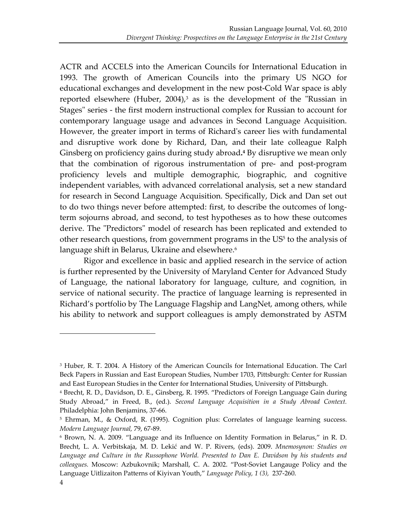ACTR and ACCELS into the American Councils for International Education in 1993. The growth of American Councils into the primary US NGO for educational exchanges and development in the new post-Cold War space is ably reported elsewhere (Huber, 2004),<sup>3</sup> as is the development of the "Russian in Stages" series - the first modern instructional complex for Russian to account for contemporary language usage and advances in Second Language Acquisition. However, the greater import in terms of Richard's career lies with fundamental and disruptive work done by Richard, Dan, and their late colleague Ralph Ginsberg on proficiency gains during study abroad**. <sup>4</sup>** By disruptive we mean only that the combination of rigorous instrumentation of pre‐ and post‐program proficiency levels and multiple demographic, biographic, and cognitive independent variables, with advanced correlational analysis, set a new standard for research in Second Language Acquisition. Specifically, Dick and Dan set out to do two things never before attempted: first, to describe the outcomes of long‐ term sojourns abroad, and second, to test hypotheses as to how these outcomes derive. The "Predictors" model of research has been replicated and extended to other research questions, from government programs in the US<sup>5</sup> to the analysis of language shift in Belarus, Ukraine and elsewhere.<sup>6</sup>

Rigor and excellence in basic and applied research in the service of action is further represented by the University of Maryland Center for Advanced Study of Language, the national laboratory for language, culture, and cognition, in service of national security. The practice of language learning is represented in Richard's portfolio by The Language Flagship and LangNet, among others, while his ability to network and support colleagues is amply demonstrated by ASTM

<sup>&</sup>lt;sup>3</sup> Huber, R. T. 2004. A History of the American Councils for International Education. The Carl Beck Papers in Russian and East European Studies, Number 1703, Pittsburgh: Center for Russian and East European Studies in the Center for International Studies, University of Pittsburgh.

<sup>4</sup> Brecht, R. D., Davidson, D. E., Ginsberg, R. 1995. "Predictors of Foreign Language Gain during Study Abroad," in Freed, B., (ed.). *Second Language Acquisition in a Study Abroad Context.* Philadelphia: John Benjamins, 37‐66.

<sup>5</sup> Ehrman, M., & Oxford, R. (1995). Cognition plus: Correlates of language learning success. *Modern Language Journal,* 79, 67‐89.

<sup>6</sup> Brown, N. A. 2009. "Language and its Influence on Identity Formation in Belarus," in R. D. Brecht, L. A. Verbitskaja, M. D. Lekić and W. P. Rivers, (eds). 2009. *Mnemosynon: Studies on Language and Culture in the Russophone World. Presented to Dan E. Davidson by his students and colleagues.* Moscow: Azbukovnik; Marshall, C. A. 2002. "Post‐Soviet Langauge Policy and the Language Uitlizaiton Patterns of Kiyivan Youth," *Language Policy, 1 (3),* 237‐260.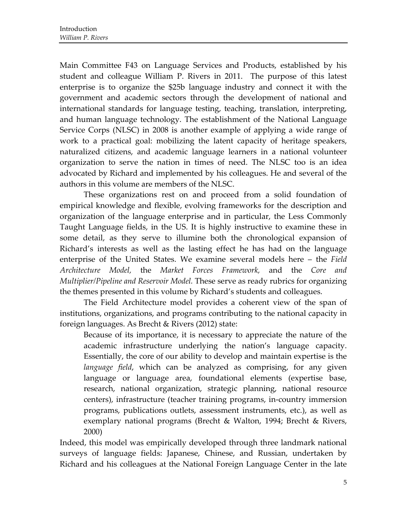Main Committee F43 on Language Services and Products, established by his student and colleague William P. Rivers in 2011. The purpose of this latest enterprise is to organize the \$25b language industry and connect it with the government and academic sectors through the development of national and international standards for language testing, teaching, translation, interpreting, and human language technology. The establishment of the National Language Service Corps (NLSC) in 2008 is another example of applying a wide range of work to a practical goal: mobilizing the latent capacity of heritage speakers, naturalized citizens, and academic language learners in a national volunteer organization to serve the nation in times of need. The NLSC too is an idea advocated by Richard and implemented by his colleagues. He and several of the authors in this volume are members of the NLSC.

These organizations rest on and proceed from a solid foundation of empirical knowledge and flexible, evolving frameworks for the description and organization of the language enterprise and in particular, the Less Commonly Taught Language fields, in the US. It is highly instructive to examine these in some detail, as they serve to illumine both the chronological expansion of Richard's interests as well as the lasting effect he has had on the language enterprise of the United States. We examine several models here – the *Field Architecture Model,* the *Market Forces Framework,* and the *Core and Multiplier/Pipeline and Reservoir Model.* These serve as ready rubrics for organizing the themes presented in this volume by Richard's students and colleagues.

The Field Architecture model provides a coherent view of the span of institutions, organizations, and programs contributing to the national capacity in foreign languages. As Brecht & Rivers (2012) state:

Because of its importance, it is necessary to appreciate the nature of the academic infrastructure underlying the nation's language capacity. Essentially, the core of our ability to develop and maintain expertise is the *language field*, which can be analyzed as comprising, for any given language or language area, foundational elements (expertise base, research, national organization, strategic planning, national resource centers), infrastructure (teacher training programs, in‐country immersion programs, publications outlets, assessment instruments, etc.), as well as exemplary national programs (Brecht & Walton, 1994; Brecht & Rivers, 2000)

Indeed, this model was empirically developed through three landmark national surveys of language fields: Japanese, Chinese, and Russian, undertaken by Richard and his colleagues at the National Foreign Language Center in the late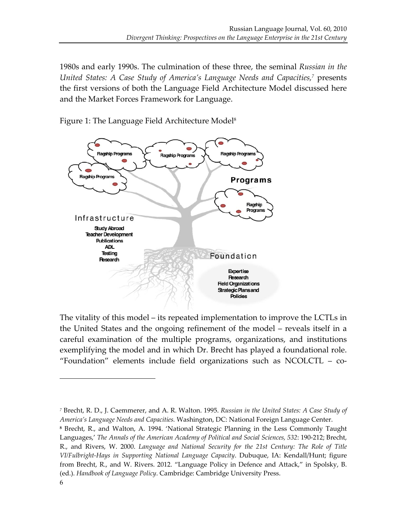1980s and early 1990s. The culmination of these three, the seminal *Russian in the United States: A Case Study of America's Language Needs and Capacities,7* presents the first versions of both the Language Field Architecture Model discussed here and the Market Forces Framework for Language.



Figure 1: The Language Field Architecture Model<sup>8</sup>

The vitality of this model – its repeated implementation to improve the LCTLs in the United States and the ongoing refinement of the model – reveals itself in a careful examination of the multiple programs, organizations, and institutions exemplifying the model and in which Dr. Brecht has played a foundational role. "Foundation" elements include field organizations such as NCOLCTL – co‐

*<sup>7</sup>* Brecht, R. D., J. Caemmerer, and A. R. Walton. 1995. *Russian in the United States: A Case Study of America's Language Needs and Capacities.* Washington, DC: National Foreign Language Center.

**<sup>8</sup>** Brecht, R., and Walton, A. 1994. 'National Strategic Planning in the Less Commonly Taught Languages,' *The Annals of the American Academy of Political and Social Sciences, 532*: 190‐212; Brecht, R., and Rivers, W. 2000. *Language and National Security for the 21st Century: The Role of Title VI/Fulbright‐Hays in Supporting National Language Capacity*. Dubuque, IA: Kendall/Hunt; figure from Brecht, R., and W. Rivers. 2012. "Language Policy in Defence and Attack," in Spolsky, B. (ed.). *Handbook of Language Policy*. Cambridge: Cambridge University Press.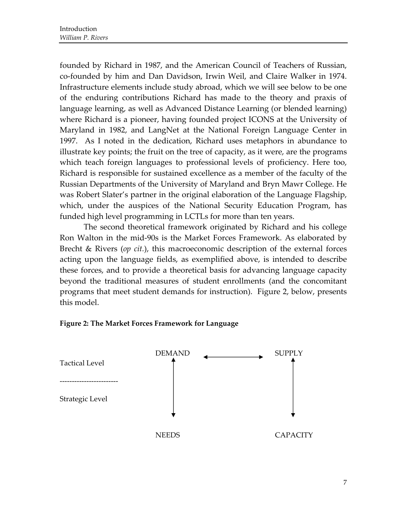founded by Richard in 1987, and the American Council of Teachers of Russian, co‐founded by him and Dan Davidson, Irwin Weil, and Claire Walker in 1974. Infrastructure elements include study abroad, which we will see below to be one of the enduring contributions Richard has made to the theory and praxis of language learning, as well as Advanced Distance Learning (or blended learning) where Richard is a pioneer, having founded project ICONS at the University of Maryland in 1982, and LangNet at the National Foreign Language Center in 1997. As I noted in the dedication, Richard uses metaphors in abundance to illustrate key points; the fruit on the tree of capacity, as it were, are the programs which teach foreign languages to professional levels of proficiency. Here too, Richard is responsible for sustained excellence as a member of the faculty of the Russian Departments of the University of Maryland and Bryn Mawr College. He was Robert Slater's partner in the original elaboration of the Language Flagship, which, under the auspices of the National Security Education Program, has funded high level programming in LCTLs for more than ten years.

The second theoretical framework originated by Richard and his college Ron Walton in the mid‐90s is the Market Forces Framework. As elaborated by Brecht & Rivers (*op cit.*), this macroeconomic description of the external forces acting upon the language fields, as exemplified above, is intended to describe these forces, and to provide a theoretical basis for advancing language capacity beyond the traditional measures of student enrollments (and the concomitant programs that meet student demands for instruction). Figure 2, below, presents this model.

#### **Figure 2: The Market Forces Framework for Language**

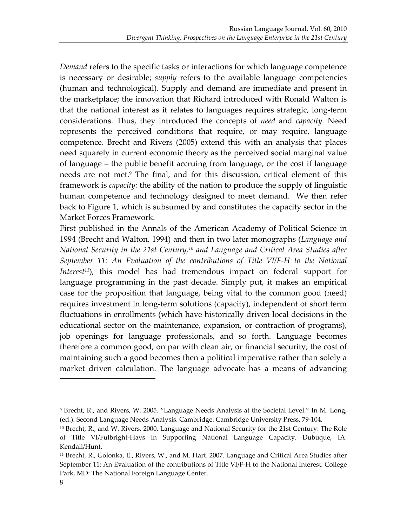*Demand* refers to the specific tasks or interactions for which language competence is necessary or desirable; *supply* refers to the available language competencies (human and technological). Supply and demand are immediate and present in the marketplace; the innovation that Richard introduced with Ronald Walton is that the national interest as it relates to languages requires strategic, long‐term considerations. Thus, they introduced the concepts of *need* and *capacity.* Need represents the perceived conditions that require, or may require, language competence. Brecht and Rivers (2005) extend this with an analysis that places need squarely in current economic theory as the perceived social marginal value of language – the public benefit accruing from language, or the cost if language needs are not met.9 The final, and for this discussion, critical element of this framework is *capacity:* the ability of the nation to produce the supply of linguistic human competence and technology designed to meet demand. We then refer back to Figure 1, which is subsumed by and constitutes the capacity sector in the Market Forces Framework.

First published in the Annals of the American Academy of Political Science in 1994 (Brecht and Walton, 1994) and then in two later monographs (*Language and National Security in the 21st Century,10 and Language and Critical Area Studies after September 11: An Evaluation of the contributions of Title VI/F‐H to the National Interest<sup>11</sup>*), this model has had tremendous impact on federal support for language programming in the past decade. Simply put, it makes an empirical case for the proposition that language, being vital to the common good (need) requires investment in long‐term solutions (capacity), independent of short term fluctuations in enrollments (which have historically driven local decisions in the educational sector on the maintenance, expansion, or contraction of programs), job openings for language professionals, and so forth. Language becomes therefore a common good, on par with clean air, or financial security; the cost of maintaining such a good becomes then a political imperative rather than solely a market driven calculation. The language advocate has a means of advancing

<sup>9</sup> Brecht, R., and Rivers, W. 2005. "Language Needs Analysis at the Societal Level." In M. Long, (ed.). Second Language Needs Analysis. Cambridge: Cambridge University Press, 79‐104.

<sup>10</sup> Brecht, R., and W. Rivers. 2000. Language and National Security for the 21st Century: The Role of Title VI/Fulbright‐Hays in Supporting National Language Capacity. Dubuque, IA: Kendall/Hunt.

<sup>11</sup> Brecht, R., Golonka, E., Rivers, W., and M. Hart. 2007. Language and Critical Area Studies after September 11: An Evaluation of the contributions of Title VI/F‐H to the National Interest. College Park, MD: The National Foreign Language Center.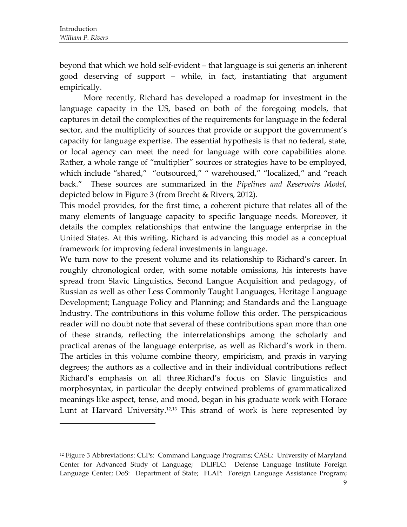$\overline{\phantom{a}}$  ,  $\overline{\phantom{a}}$  ,  $\overline{\phantom{a}}$  ,  $\overline{\phantom{a}}$  ,  $\overline{\phantom{a}}$  ,  $\overline{\phantom{a}}$  ,  $\overline{\phantom{a}}$  ,  $\overline{\phantom{a}}$  ,  $\overline{\phantom{a}}$  ,  $\overline{\phantom{a}}$  ,  $\overline{\phantom{a}}$  ,  $\overline{\phantom{a}}$  ,  $\overline{\phantom{a}}$  ,  $\overline{\phantom{a}}$  ,  $\overline{\phantom{a}}$  ,  $\overline{\phantom{a}}$ 

beyond that which we hold self‐evident – that language is sui generis an inherent good deserving of support – while, in fact, instantiating that argument empirically.

More recently, Richard has developed a roadmap for investment in the language capacity in the US, based on both of the foregoing models, that captures in detail the complexities of the requirements for language in the federal sector, and the multiplicity of sources that provide or support the government's capacity for language expertise. The essential hypothesis is that no federal, state, or local agency can meet the need for language with core capabilities alone. Rather, a whole range of "multiplier" sources or strategies have to be employed, which include "shared," "outsourced," " warehoused," "localized," and "reach back." These sources are summarized in the *Pipelines and Reservoirs Model*, depicted below in Figure 3 (from Brecht & Rivers, 2012).

This model provides, for the first time, a coherent picture that relates all of the many elements of language capacity to specific language needs. Moreover, it details the complex relationships that entwine the language enterprise in the United States. At this writing, Richard is advancing this model as a conceptual framework for improving federal investments in language.

We turn now to the present volume and its relationship to Richard's career. In roughly chronological order, with some notable omissions, his interests have spread from Slavic Linguistics, Second Langue Acquisition and pedagogy, of Russian as well as other Less Commonly Taught Languages, Heritage Language Development; Language Policy and Planning; and Standards and the Language Industry. The contributions in this volume follow this order. The perspicacious reader will no doubt note that several of these contributions span more than one of these strands, reflecting the interrelationships among the scholarly and practical arenas of the language enterprise, as well as Richard's work in them. The articles in this volume combine theory, empiricism, and praxis in varying degrees; the authors as a collective and in their individual contributions reflect Richard's emphasis on all three.Richard's focus on Slavic linguistics and morphosyntax, in particular the deeply entwined problems of grammaticalized meanings like aspect, tense, and mood, began in his graduate work with Horace Lunt at Harvard University.<sup>12,13</sup> This strand of work is here represented by

<sup>12</sup> Figure 3 Abbreviations: CLPs: Command Language Programs; CASL: University of Maryland Center for Advanced Study of Language; DLIFLC: Defense Language Institute Foreign Language Center; DoS: Department of State; FLAP: Foreign Language Assistance Program;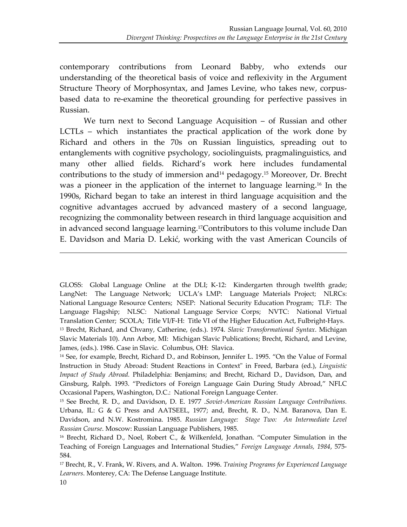contemporary contributions from Leonard Babby, who extends our understanding of the theoretical basis of voice and reflexivity in the Argument Structure Theory of Morphosyntax, and James Levine, who takes new, corpus‐ based data to re‐examine the theoretical grounding for perfective passives in Russian.

We turn next to Second Language Acquisition – of Russian and other LCTLs – which instantiates the practical application of the work done by Richard and others in the 70s on Russian linguistics, spreading out to entanglements with cognitive psychology, sociolinguists, pragmalinguistics, and many other allied fields. Richard's work here includes fundamental contributions to the study of immersion and<sup>14</sup> pedagogy.<sup>15</sup> Moreover, Dr. Brecht was a pioneer in the application of the internet to language learning.16 In the 1990s, Richard began to take an interest in third language acquisition and the cognitive advantages accrued by advanced mastery of a second language, recognizing the commonality between research in third language acquisition and in advanced second language learning.17Contributors to this volume include Dan E. Davidson and Maria D. Lekić, working with the vast American Councils of

<u> 1989 - Johann Stoff, amerikansk politiker (d. 1989)</u>

GLOSS: Global Language Online at the DLI; K-12: Kindergarten through twelfth grade; LangNet: The Language Network; UCLA's LMP: Language Materials Project; NLRCs: National Language Resource Centers; NSEP: National Security Education Program; TLF: The Language Flagship; NLSC: National Language Service Corps; NVTC: National Virtual Translation Center; SCOLA; Title VI/F‐H: Title VI of the Higher Education Act, Fulbright‐Hays. <sup>13</sup> Brecht, Richard, and Chvany, Catherine, (eds.). 1974. *Slavic Transformational Syntax*. Michigan Slavic Materials 10). Ann Arbor, MI: Michigan Slavic Publications; Brecht, Richard, and Levine, James, (eds.). 1986. Case in Slavic. Columbus, OH: Slavica.

<sup>14</sup> See, for example, Brecht, Richard D., and Robinson, Jennifer L. 1995. "On the Value of Formal Instruction in Study Abroad: Student Reactions in Context" in Freed, Barbara (ed.), *Linguistic Impact of Study Abroad.* Philadelphia: Benjamins; and Brecht, Richard D., Davidson, Dan, and Ginsburg, Ralph. 1993. "Predictors of Foreign Language Gain During Study Abroad," NFLC Occasional Papers, Washington, D.C.: National Foreign Language Center.

<sup>15</sup> See Brecht, R. D., and Davidson, D. E. 1977 .*Soviet‐American Russian Language Contributions.* Urbana, IL: G & G Press and AATSEEL, 1977; and, Brecht, R. D., N.M. Baranova, Dan E. Davidson, and N.W. Kostromina. 1985. *Russian Language: Stage Two: An Intermediate Level Russian Course*. Moscow: Russian Language Publishers, 1985.

<sup>16</sup> Brecht, Richard D., Noel, Robert C., & Wilkenfeld, Jonathan. "Computer Simulation in the Teaching of Foreign Languages and International Studies," *Foreign Language Annals, 1984*, 575‐ 584.

<sup>17</sup> Brecht, R., V. Frank, W. Rivers, and A. Walton. 1996. *Training Programs for Experienced Language Learners*. Monterey, CA: The Defense Language Institute.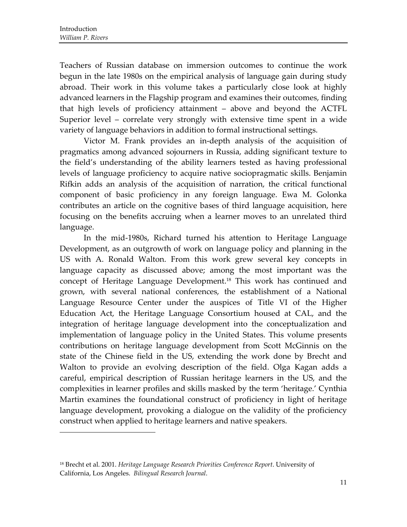Teachers of Russian database on immersion outcomes to continue the work begun in the late 1980s on the empirical analysis of language gain during study abroad. Their work in this volume takes a particularly close look at highly advanced learners in the Flagship program and examines their outcomes, finding that high levels of proficiency attainment – above and beyond the ACTFL Superior level – correlate very strongly with extensive time spent in a wide variety of language behaviors in addition to formal instructional settings.

Victor M. Frank provides an in‐depth analysis of the acquisition of pragmatics among advanced sojourners in Russia, adding significant texture to the field's understanding of the ability learners tested as having professional levels of language proficiency to acquire native sociopragmatic skills. Benjamin Rifkin adds an analysis of the acquisition of narration, the critical functional component of basic proficiency in any foreign language. Ewa M. Golonka contributes an article on the cognitive bases of third language acquisition, here focusing on the benefits accruing when a learner moves to an unrelated third language.

In the mid‐1980s, Richard turned his attention to Heritage Language Development, as an outgrowth of work on language policy and planning in the US with A. Ronald Walton. From this work grew several key concepts in language capacity as discussed above; among the most important was the concept of Heritage Language Development.<sup>18</sup> This work has continued and grown, with several national conferences, the establishment of a National Language Resource Center under the auspices of Title VI of the Higher Education Act, the Heritage Language Consortium housed at CAL, and the integration of heritage language development into the conceptualization and implementation of language policy in the United States. This volume presents contributions on heritage language development from Scott McGinnis on the state of the Chinese field in the US, extending the work done by Brecht and Walton to provide an evolving description of the field. Olga Kagan adds a careful, empirical description of Russian heritage learners in the US, and the complexities in learner profiles and skills masked by the term 'heritage.' Cynthia Martin examines the foundational construct of proficiency in light of heritage language development, provoking a dialogue on the validity of the proficiency construct when applied to heritage learners and native speakers.

<sup>18</sup> Brecht et al. 2001. *Heritage Language Research Priorities Conference Report*. University of California, Los Angeles. *Bilingual Research Journal*.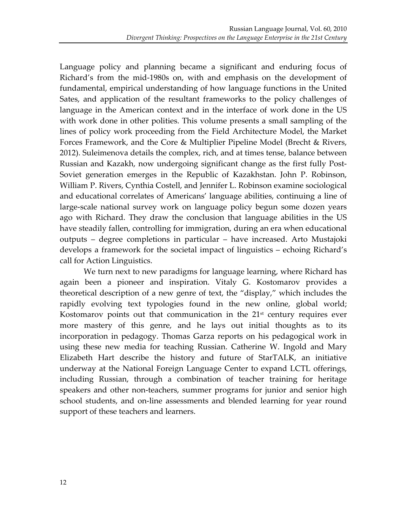Language policy and planning became a significant and enduring focus of Richard's from the mid‐1980s on, with and emphasis on the development of fundamental, empirical understanding of how language functions in the United Sates, and application of the resultant frameworks to the policy challenges of language in the American context and in the interface of work done in the US with work done in other polities. This volume presents a small sampling of the lines of policy work proceeding from the Field Architecture Model, the Market Forces Framework, and the Core & Multiplier Pipeline Model (Brecht & Rivers, 2012). Suleimenova details the complex, rich, and at times tense, balance between Russian and Kazakh, now undergoing significant change as the first fully Post‐ Soviet generation emerges in the Republic of Kazakhstan. John P. Robinson, William P. Rivers, Cynthia Costell, and Jennifer L. Robinson examine sociological and educational correlates of Americans' language abilities, continuing a line of large‐scale national survey work on language policy begun some dozen years ago with Richard. They draw the conclusion that language abilities in the US have steadily fallen, controlling for immigration, during an era when educational outputs – degree completions in particular – have increased. Arto Mustajoki develops a framework for the societal impact of linguistics – echoing Richard's call for Action Linguistics.

We turn next to new paradigms for language learning, where Richard has again been a pioneer and inspiration. Vitaly G. Kostomarov provides a theoretical description of a new genre of text, the "display," which includes the rapidly evolving text typologies found in the new online, global world; Kostomarov points out that communication in the  $21<sup>st</sup>$  century requires ever more mastery of this genre, and he lays out initial thoughts as to its incorporation in pedagogy. Thomas Garza reports on his pedagogical work in using these new media for teaching Russian. Catherine W. Ingold and Mary Elizabeth Hart describe the history and future of StarTALK, an initiative underway at the National Foreign Language Center to expand LCTL offerings, including Russian, through a combination of teacher training for heritage speakers and other non-teachers, summer programs for junior and senior high school students, and on-line assessments and blended learning for year round support of these teachers and learners.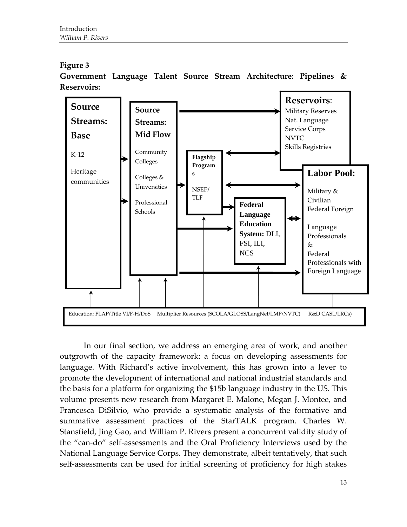### **Figure 3**

**Government Language Talent Source Stream Architecture: Pipelines & Reservoirs:**



In our final section, we address an emerging area of work, and another outgrowth of the capacity framework: a focus on developing assessments for language. With Richard's active involvement, this has grown into a lever to promote the development of international and national industrial standards and the basis for a platform for organizing the \$15b language industry in the US. This volume presents new research from Margaret E. Malone, Megan J. Montee, and Francesca DiSilvio, who provide a systematic analysis of the formative and summative assessment practices of the StarTALK program. Charles W. Stansfield, Jing Gao, and William P. Rivers present a concurrent validity study of the "can‐do" self‐assessments and the Oral Proficiency Interviews used by the National Language Service Corps. They demonstrate, albeit tentatively, that such self-assessments can be used for initial screening of proficiency for high stakes